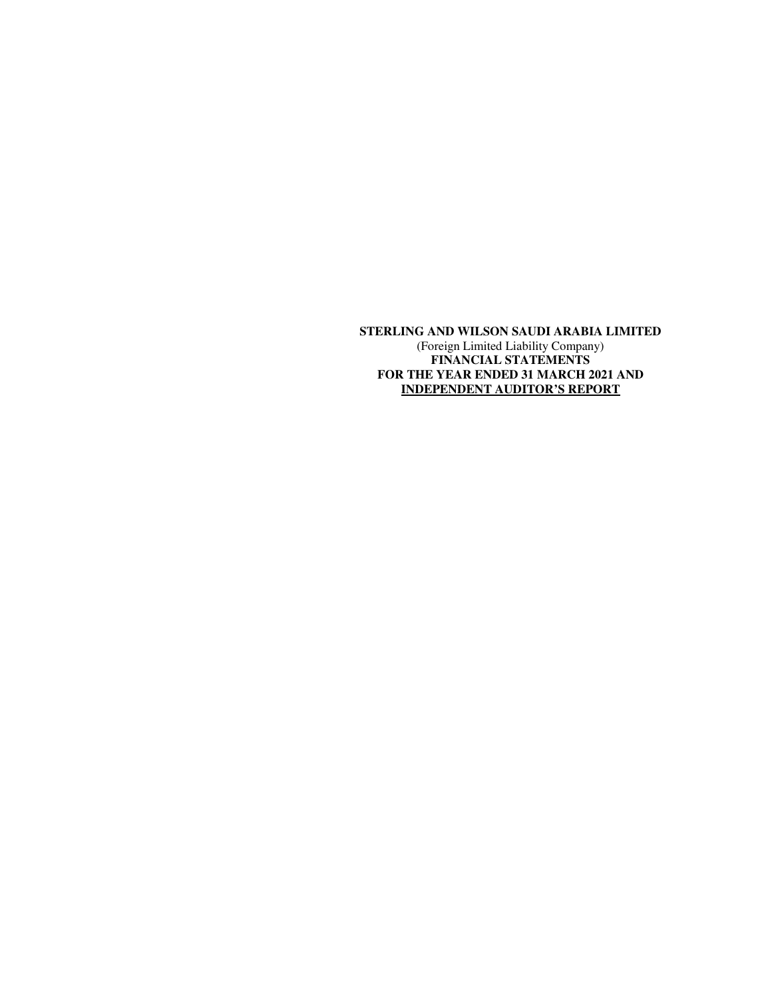**STERLING AND WILSON SAUDI ARABIA LIMITED**  (Foreign Limited Liability Company) **FINANCIAL STATEMENTS FOR THE YEAR ENDED 31 MARCH 2021 AND INDEPENDENT AUDITOR'S REPORT**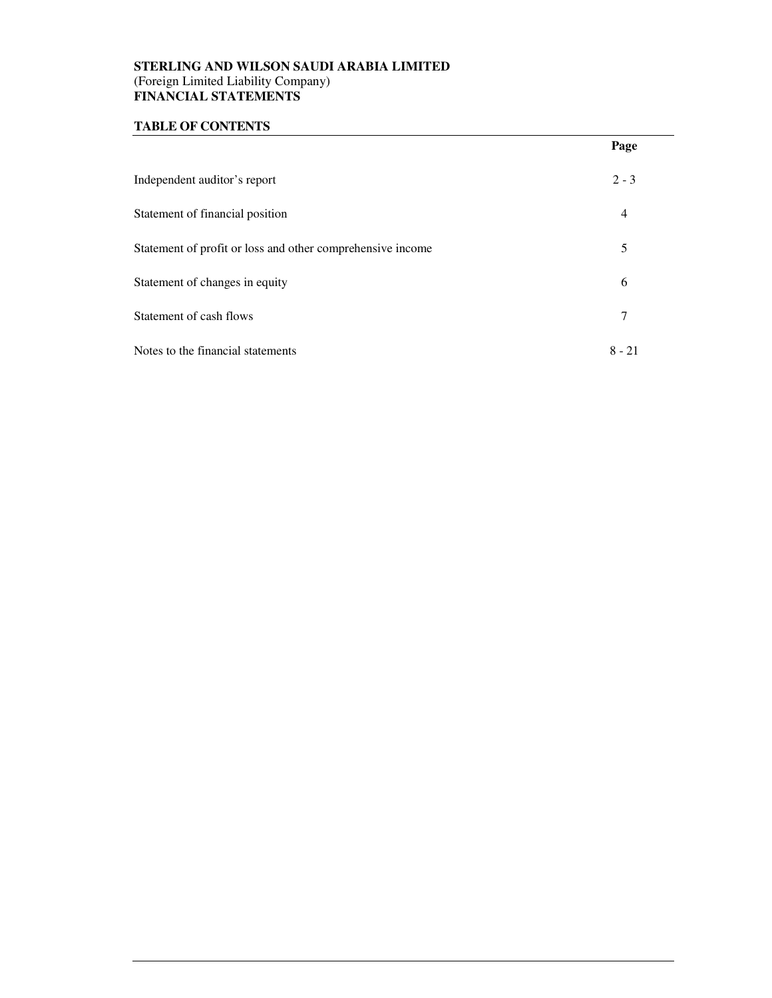# **STERLING AND WILSON SAUDI ARABIA LIMITED** (Foreign Limited Liability Company) **FINANCIAL STATEMENTS**

# **TABLE OF CONTENTS**

|                                                            | Page     |
|------------------------------------------------------------|----------|
| Independent auditor's report                               | $2 - 3$  |
| Statement of financial position                            | 4        |
| Statement of profit or loss and other comprehensive income | 5        |
| Statement of changes in equity                             | 6        |
| Statement of cash flows                                    |          |
| Notes to the financial statements                          | $8 - 21$ |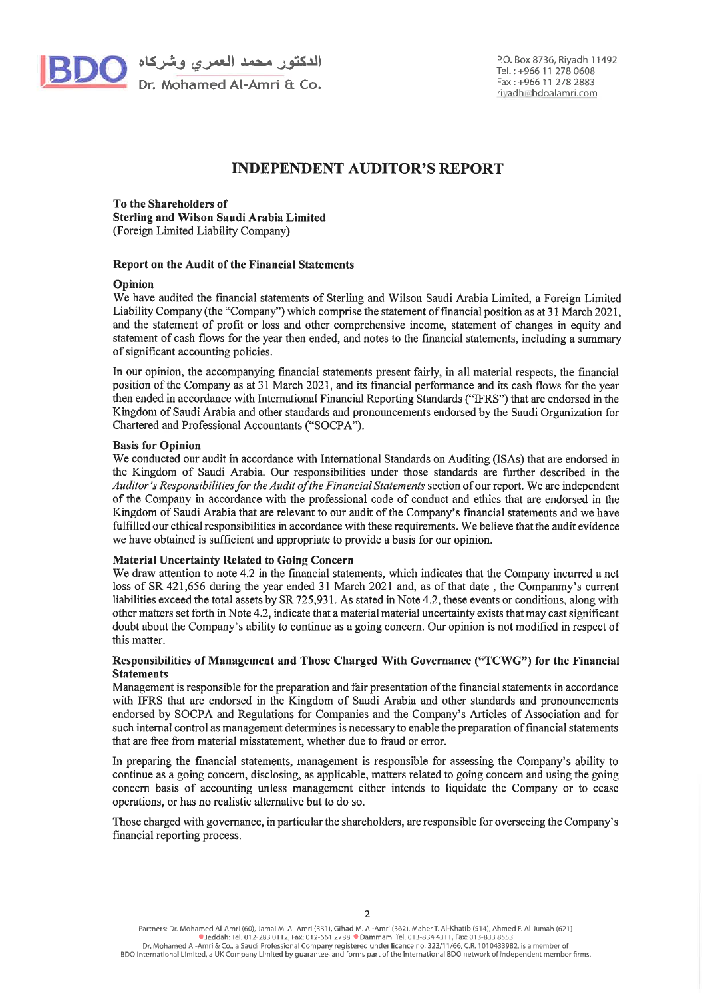

الدكتور محمد الـعمري وشركاه <mark>DC</mark><br>Dr. Mohamed Al-Amri & Co.

# **INDEPENDENT AUDITOR'S REPORT**

To the Shareholders of Sterling and Wilson Saudi Arabia Limited (Foreign Limited Liability Company)

#### Report on the Audit of the Financial Statements

#### Opinion

We have audited the financial statements of Sterling and Wilson Saudi Arabia Limited, a Foreign Limited Liability Company (the "Company") which comprise the statement of financial position as at 31 March 2021. and the statement of profit or loss and other comprehensive income, statement of changes in equity and statement of cash flows for the year then ended, and notes to the financial statements, including a summary of significant accounting policies.

In our opinion, the accompanying financial statements present fairly, in all material respects, the financial position of the Company as at 31 March 2021, and its financial performance and its cash flows for the year then ended in accordance with International Financial Reporting Standards ("IFRS") that are endorsed in the Kingdom of Saudi Arabia and other standards and pronouncements endorsed by the Saudi Organization for Chartered and Professional Accountants ("SOCPA").

#### **Basis for Opinion**

We conducted our audit in accordance with International Standards on Auditing (ISAs) that are endorsed in the Kingdom of Saudi Arabia. Our responsibilities under those standards are further described in the Auditor's Responsibilities for the Audit of the Financial Statements section of our report. We are independent of the Company in accordance with the professional code of conduct and ethics that are endorsed in the Kingdom of Saudi Arabia that are relevant to our audit of the Company's financial statements and we have fulfilled our ethical responsibilities in accordance with these requirements. We believe that the audit evidence we have obtained is sufficient and appropriate to provide a basis for our opinion.

#### **Material Uncertainty Related to Going Concern**

We draw attention to note 4.2 in the financial statements, which indicates that the Company incurred a net loss of SR 421,656 during the year ended 31 March 2021 and, as of that date, the Companny's current liabilities exceed the total assets by SR 725,931. As stated in Note 4.2, these events or conditions, along with other matters set forth in Note 4.2, indicate that a material material uncertainty exists that may cast significant doubt about the Company's ability to continue as a going concern. Our opinion is not modified in respect of this matter.

#### Responsibilities of Management and Those Charged With Governance ("TCWG") for the Financial **Statements**

Management is responsible for the preparation and fair presentation of the financial statements in accordance with IFRS that are endorsed in the Kingdom of Saudi Arabia and other standards and pronouncements endorsed by SOCPA and Regulations for Companies and the Company's Articles of Association and for such internal control as management determines is necessary to enable the preparation of financial statements that are free from material misstatement, whether due to fraud or error.

In preparing the financial statements, management is responsible for assessing the Company's ability to continue as a going concern, disclosing, as applicable, matters related to going concern and using the going concern basis of accounting unless management either intends to liquidate the Company or to cease operations, or has no realistic alternative but to do so.

Those charged with governance, in particular the shareholders, are responsible for overseeing the Company's financial reporting process.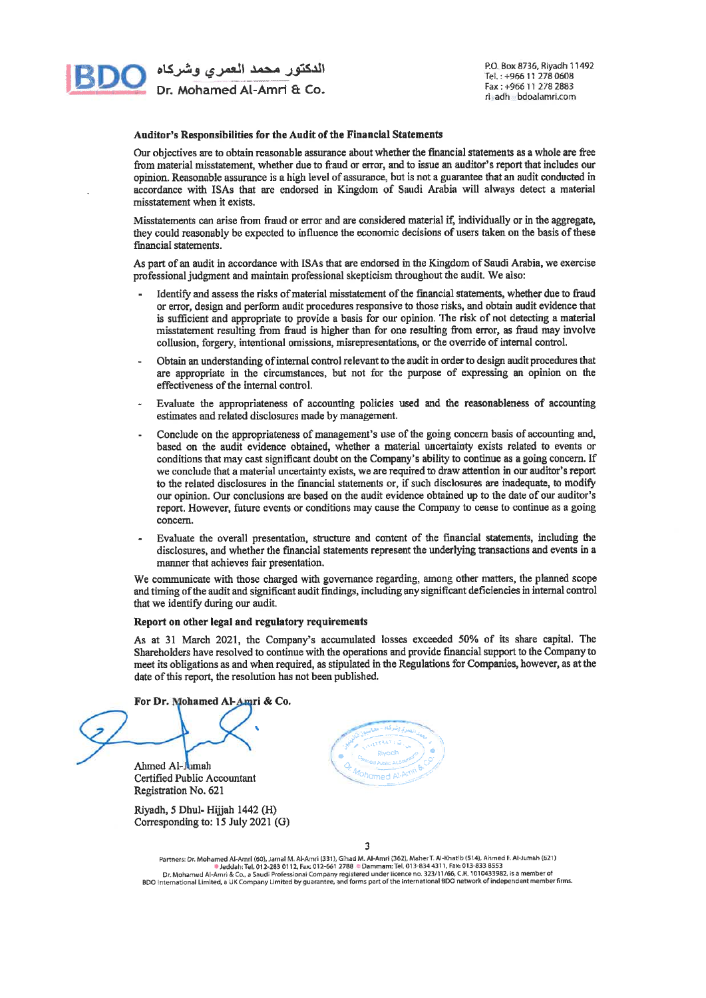

P.O. Box 8736, Riyadh 11492 Tel.: +966 11 278 0608 Fax: +966 11 278 2883 ri adh bdoalamri.com

#### Auditor's Responsibilities for the Audit of the Financial Statements

Our objectives are to obtain reasonable assurance about whether the financial statements as a whole are free from material misstatement, whether due to fraud or error, and to issue an auditor's report that includes our opinion. Reasonable assurance is a high level of assurance, but is not a guarantee that an audit conducted in accordance with ISAs that are endorsed in Kingdom of Saudi Arabia will always detect a material misstatement when it exists.

Misstatements can arise from fraud or error and are considered material if, individually or in the aggregate, they could reasonably be expected to influence the economic decisions of users taken on the basis of these financial statements.

As part of an audit in accordance with ISAs that are endorsed in the Kingdom of Saudi Arabia, we exercise professional judgment and maintain professional skepticism throughout the audit. We also:

- Identify and assess the risks of material misstatement of the financial statements, whether due to fraud or error, design and perform audit procedures responsive to those risks, and obtain audit evidence that is sufficient and appropriate to provide a basis for our opinion. The risk of not detecting a material misstatement resulting from fraud is higher than for one resulting from error, as fraud may involve collusion, forgery, intentional omissions, misrepresentations, or the override of internal control.
- Obtain an understanding of internal control relevant to the audit in order to design audit procedures that are appropriate in the circumstances, but not for the purpose of expressing an opinion on the effectiveness of the internal control.
- Evaluate the appropriateness of accounting policies used and the reasonableness of accounting estimates and related disclosures made by management.
- Conclude on the appropriateness of management's use of the going concern basis of accounting and, based on the audit evidence obtained, whether a material uncertainty exists related to events or conditions that may cast significant doubt on the Company's ability to continue as a going concern. If we conclude that a material uncertainty exists, we are required to draw attention in our auditor's report to the related disclosures in the financial statements or, if such disclosures are inadequate, to modify our opinion. Our conclusions are based on the audit evidence obtained up to the date of our auditor's report. However, future events or conditions may cause the Company to cease to continue as a going concern.
- Evaluate the overall presentation, structure and content of the financial statements, including the disclosures, and whether the financial statements represent the underlying transactions and events in a manner that achieves fair presentation.

We communicate with those charged with governance regarding, among other matters, the planned scope and timing of the audit and significant audit findings, including any significant deficiencies in internal control that we identify during our audit.

#### Report on other legal and regulatory requirements

As at 31 March 2021, the Company's accumulated losses exceeded 50% of its share capital. The Shareholders have resolved to continue with the operations and provide financial support to the Company to meet its obligations as and when required, as stipulated in the Regulations for Companies, however, as at the date of this report, the resolution has not been published.

For Dr. Mohamed Al-Amri & Co.

Ahmed Al-Jumah

Certified Public Accountant Registration No. 621

Riyadh, 5 Dhul- Hijjah 1442 (H) Corresponding to: 15 July 2021 (G)



3

Partners: Dr. Mohamed Al-Amri (60), Jamal M. Al-Amri (331), Gihad M. Al-Amri (362), Maher T. Al-Khatlb (514), Ahmed F. Al-Jumah (621)<br>Deddah: Tel, 012-283 0112, Fax: 012-661 2788 © Dammam: Tel. 013-834 4311, Fax: 013-833 8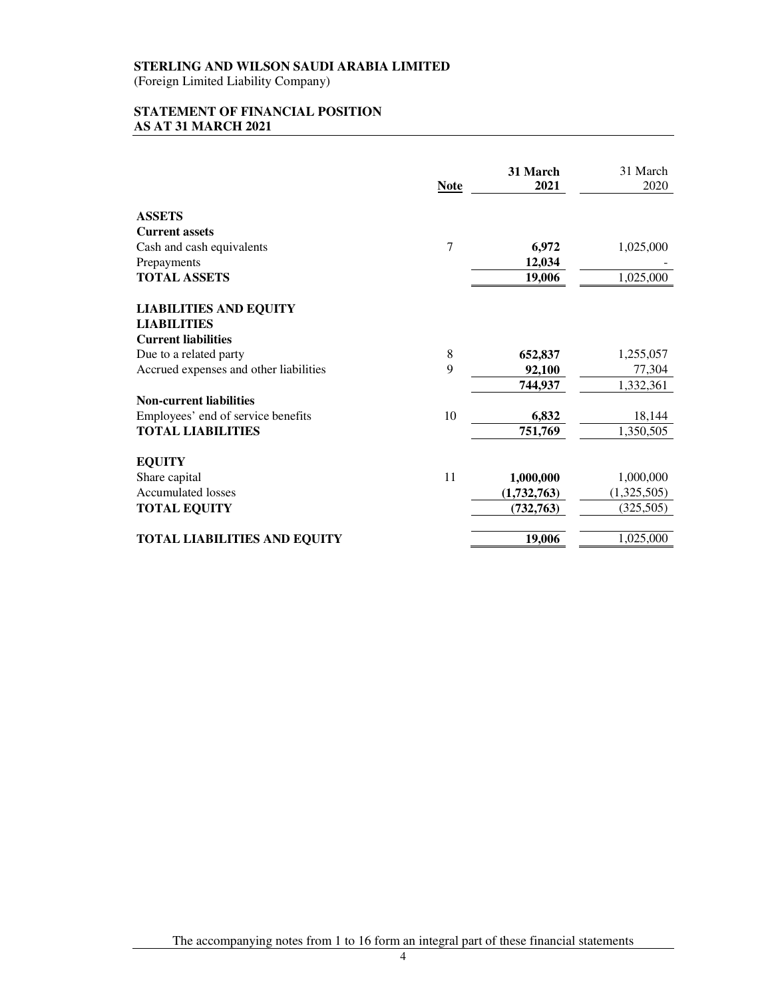(Foreign Limited Liability Company)

# **STATEMENT OF FINANCIAL POSITION AS AT 31 MARCH 2021**

|                                        | <b>Note</b> | 31 March<br>2021 | 31 March<br>2020 |
|----------------------------------------|-------------|------------------|------------------|
| <b>ASSETS</b>                          |             |                  |                  |
| <b>Current assets</b>                  |             |                  |                  |
| Cash and cash equivalents              | 7           | 6,972            | 1,025,000        |
| Prepayments                            |             | 12,034           |                  |
| <b>TOTAL ASSETS</b>                    |             | 19,006           | 1,025,000        |
| <b>LIABILITIES AND EQUITY</b>          |             |                  |                  |
| <b>LIABILITIES</b>                     |             |                  |                  |
| <b>Current liabilities</b>             |             |                  |                  |
| Due to a related party                 | 8           | 652,837          | 1,255,057        |
| Accrued expenses and other liabilities | 9           | 92,100           | 77,304           |
|                                        |             | 744,937          | 1,332,361        |
| <b>Non-current liabilities</b>         |             |                  |                  |
| Employees' end of service benefits     | 10          | 6,832            | 18,144           |
| <b>TOTAL LIABILITIES</b>               |             | 751,769          | 1,350,505        |
| <b>EQUITY</b>                          |             |                  |                  |
| Share capital                          | 11          | 1,000,000        | 1,000,000        |
| <b>Accumulated losses</b>              |             | (1,732,763)      | (1,325,505)      |
| <b>TOTAL EQUITY</b>                    |             | (732, 763)       | (325,505)        |
| <b>TOTAL LIABILITIES AND EQUITY</b>    |             | 19,006           | 1,025,000        |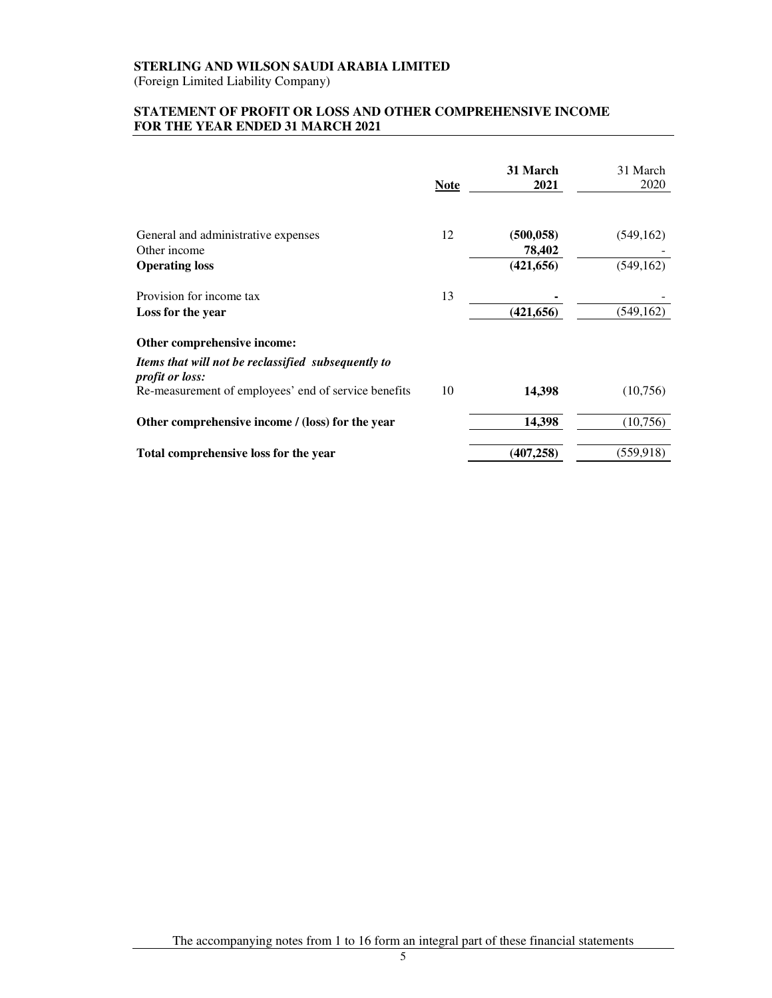(Foreign Limited Liability Company)

# **STATEMENT OF PROFIT OR LOSS AND OTHER COMPREHENSIVE INCOME FOR THE YEAR ENDED 31 MARCH 2021**

|                                                                               | <b>Note</b> | 31 March<br>2021     | 31 March<br>2020 |
|-------------------------------------------------------------------------------|-------------|----------------------|------------------|
| General and administrative expenses                                           | 12          | (500, 058)           | (549, 162)       |
| Other income<br><b>Operating loss</b>                                         |             | 78,402<br>(421, 656) | (549, 162)       |
| Provision for income tax                                                      | 13          |                      |                  |
| Loss for the year                                                             |             | (421, 656)           | (549, 162)       |
| Other comprehensive income:                                                   |             |                      |                  |
| Items that will not be reclassified subsequently to<br><i>profit or loss:</i> |             |                      |                  |
| Re-measurement of employees' end of service benefits                          | 10          | 14,398               | (10,756)         |
| Other comprehensive income / (loss) for the year                              |             | 14,398               | (10,756)         |
| Total comprehensive loss for the year                                         |             | (407, 258)           | (559, 918)       |

The accompanying notes from 1 to 16 form an integral part of these financial statements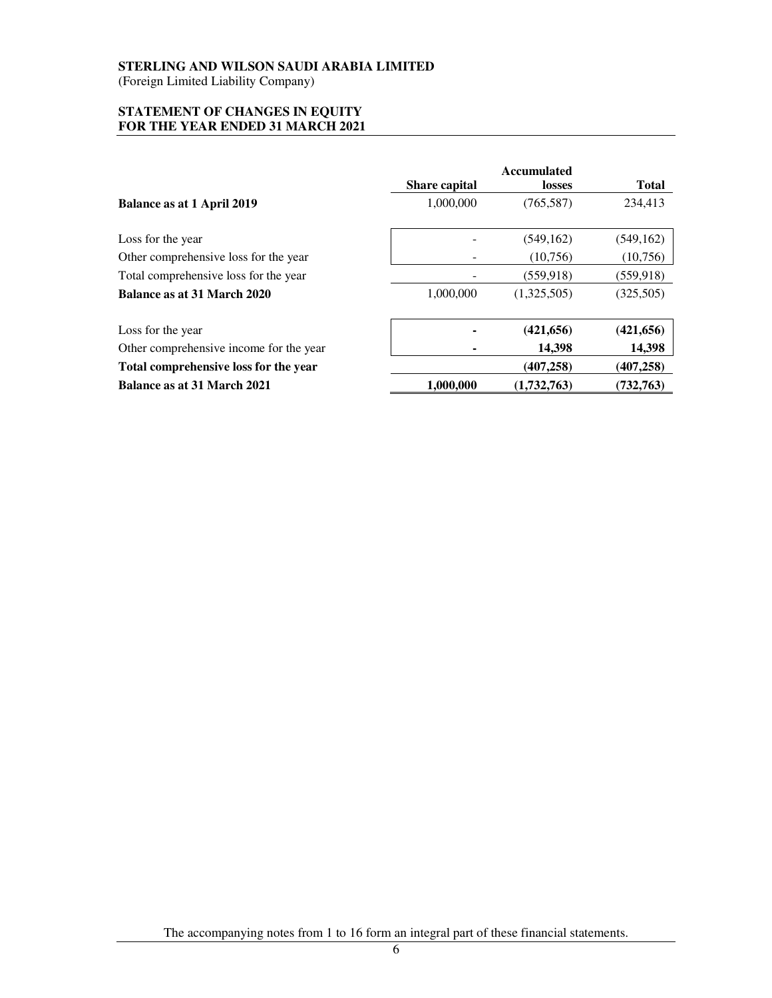(Foreign Limited Liability Company)

#### **STATEMENT OF CHANGES IN EQUITY FOR THE YEAR ENDED 31 MARCH 2021**

|                                         | Share capital | <b>Accumulated</b><br><b>losses</b> | <b>Total</b> |
|-----------------------------------------|---------------|-------------------------------------|--------------|
| Balance as at 1 April 2019              | 1,000,000     | (765, 587)                          | 234,413      |
| Loss for the year                       |               | (549, 162)                          | (549, 162)   |
| Other comprehensive loss for the year   |               | (10,756)                            | (10,756)     |
| Total comprehensive loss for the year   |               | (559, 918)                          | (559, 918)   |
| Balance as at 31 March 2020             | 1,000,000     | (1,325,505)                         | (325,505)    |
| Loss for the year                       |               | (421, 656)                          | (421, 656)   |
| Other comprehensive income for the year |               | 14,398                              | 14,398       |
| Total comprehensive loss for the year   |               | (407, 258)                          | (407, 258)   |
| Balance as at 31 March 2021             | 1,000,000     | (1,732,763)                         | (732, 763)   |

The accompanying notes from 1 to 16 form an integral part of these financial statements.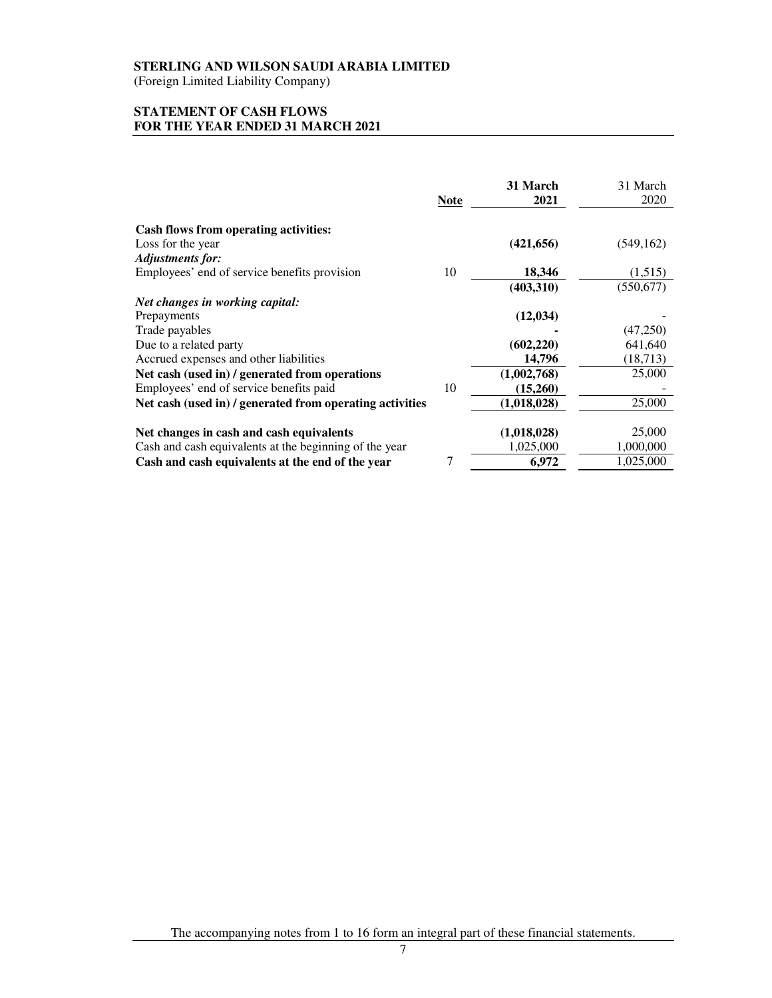(Foreign Limited Liability Company)

# **STATEMENT OF CASH FLOWS FOR THE YEAR ENDED 31 MARCH 2021**

|                                                          | <b>Note</b> | 31 March<br>2021 | 31 March<br>2020 |
|----------------------------------------------------------|-------------|------------------|------------------|
| <b>Cash flows from operating activities:</b>             |             |                  |                  |
| Loss for the year                                        |             | (421, 656)       | (549, 162)       |
| <b>Adjustments for:</b>                                  |             |                  |                  |
| Employees' end of service benefits provision             | 10          | 18,346           | (1,515)          |
|                                                          |             | (403,310)        | (550, 677)       |
| Net changes in working capital:                          |             |                  |                  |
| Prepayments                                              |             | (12, 034)        |                  |
| Trade payables                                           |             |                  | (47,250)         |
| Due to a related party                                   |             | (602, 220)       | 641,640          |
| Accrued expenses and other liabilities                   |             | 14,796           | (18, 713)        |
| Net cash (used in) / generated from operations           |             | (1,002,768)      | 25,000           |
| Employees' end of service benefits paid                  | 10          | (15,260)         |                  |
| Net cash (used in) / generated from operating activities |             | (1,018,028)      | 25,000           |
|                                                          |             |                  |                  |
| Net changes in cash and cash equivalents                 |             | (1,018,028)      | 25,000           |
| Cash and cash equivalents at the beginning of the year   |             | 1,025,000        | 1,000,000        |
| Cash and cash equivalents at the end of the year         | 7           | 6,972            | 1,025,000        |

7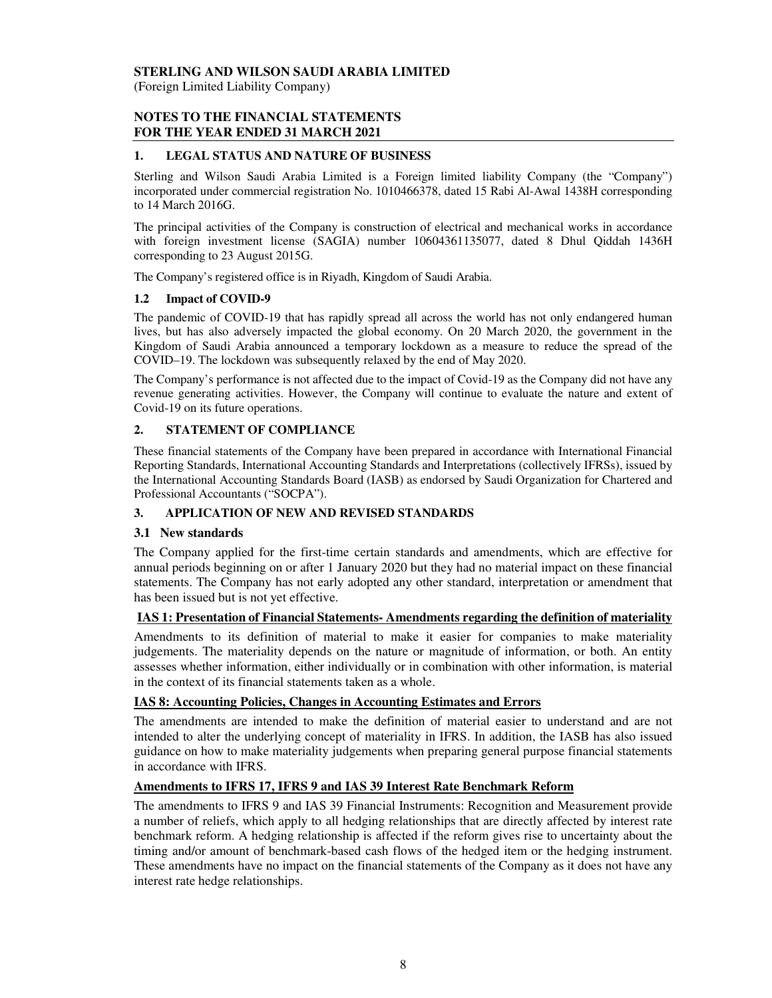(Foreign Limited Liability Company)

# **NOTES TO THE FINANCIAL STATEMENTS FOR THE YEAR ENDED 31 MARCH 2021**

# **1. LEGAL STATUS AND NATURE OF BUSINESS**

Sterling and Wilson Saudi Arabia Limited is a Foreign limited liability Company (the "Company") incorporated under commercial registration No. 1010466378, dated 15 Rabi Al-Awal 1438H corresponding to 14 March 2016G.

The principal activities of the Company is construction of electrical and mechanical works in accordance with foreign investment license (SAGIA) number 10604361135077, dated 8 Dhul Qiddah 1436H corresponding to 23 August 2015G.

The Company's registered office is in Riyadh, Kingdom of Saudi Arabia.

# **1.2 Impact of COVID-9**

The pandemic of COVID-19 that has rapidly spread all across the world has not only endangered human lives, but has also adversely impacted the global economy. On 20 March 2020, the government in the Kingdom of Saudi Arabia announced a temporary lockdown as a measure to reduce the spread of the COVID–19. The lockdown was subsequently relaxed by the end of May 2020.

The Company's performance is not affected due to the impact of Covid-19 as the Company did not have any revenue generating activities. However, the Company will continue to evaluate the nature and extent of Covid-19 on its future operations.

# **2. STATEMENT OF COMPLIANCE**

These financial statements of the Company have been prepared in accordance with International Financial Reporting Standards, International Accounting Standards and Interpretations (collectively IFRSs), issued by the International Accounting Standards Board (IASB) as endorsed by Saudi Organization for Chartered and Professional Accountants ("SOCPA").

### **3. APPLICATION OF NEW AND REVISED STANDARDS**

### **3.1 New standards**

The Company applied for the first-time certain standards and amendments, which are effective for annual periods beginning on or after 1 January 2020 but they had no material impact on these financial statements. The Company has not early adopted any other standard, interpretation or amendment that has been issued but is not yet effective.

### **IAS 1: Presentation of Financial Statements- Amendments regarding the definition of materiality**

Amendments to its definition of material to make it easier for companies to make materiality judgements. The materiality depends on the nature or magnitude of information, or both. An entity assesses whether information, either individually or in combination with other information, is material in the context of its financial statements taken as a whole.

### **IAS 8: Accounting Policies, Changes in Accounting Estimates and Errors**

The amendments are intended to make the definition of material easier to understand and are not intended to alter the underlying concept of materiality in IFRS. In addition, the IASB has also issued guidance on how to make materiality judgements when preparing general purpose financial statements in accordance with IFRS.

### **Amendments to IFRS 17, IFRS 9 and IAS 39 Interest Rate Benchmark Reform**

The amendments to IFRS 9 and IAS 39 Financial Instruments: Recognition and Measurement provide a number of reliefs, which apply to all hedging relationships that are directly affected by interest rate benchmark reform. A hedging relationship is affected if the reform gives rise to uncertainty about the timing and/or amount of benchmark-based cash flows of the hedged item or the hedging instrument. These amendments have no impact on the financial statements of the Company as it does not have any interest rate hedge relationships.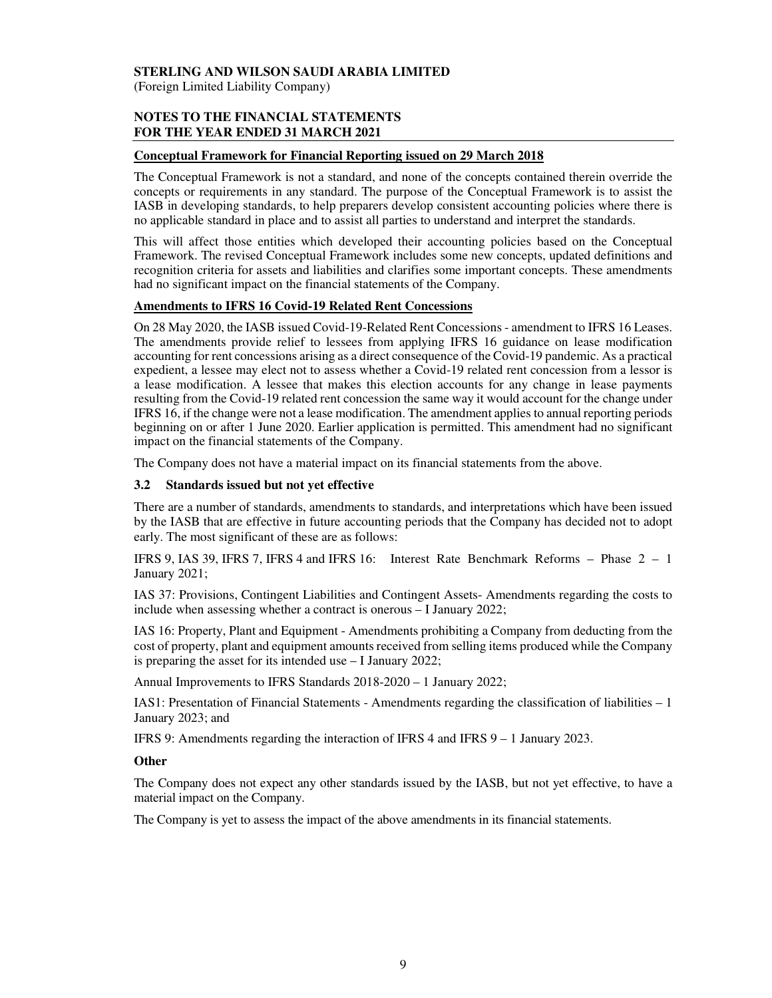(Foreign Limited Liability Company)

# **NOTES TO THE FINANCIAL STATEMENTS FOR THE YEAR ENDED 31 MARCH 2021**

### **Conceptual Framework for Financial Reporting issued on 29 March 2018**

The Conceptual Framework is not a standard, and none of the concepts contained therein override the concepts or requirements in any standard. The purpose of the Conceptual Framework is to assist the IASB in developing standards, to help preparers develop consistent accounting policies where there is no applicable standard in place and to assist all parties to understand and interpret the standards.

This will affect those entities which developed their accounting policies based on the Conceptual Framework. The revised Conceptual Framework includes some new concepts, updated definitions and recognition criteria for assets and liabilities and clarifies some important concepts. These amendments had no significant impact on the financial statements of the Company.

# **Amendments to IFRS 16 Covid-19 Related Rent Concessions**

On 28 May 2020, the IASB issued Covid-19-Related Rent Concessions - amendment to IFRS 16 Leases. The amendments provide relief to lessees from applying IFRS 16 guidance on lease modification accounting for rent concessions arising as a direct consequence of the Covid-19 pandemic. As a practical expedient, a lessee may elect not to assess whether a Covid-19 related rent concession from a lessor is a lease modification. A lessee that makes this election accounts for any change in lease payments resulting from the Covid-19 related rent concession the same way it would account for the change under IFRS 16, if the change were not a lease modification. The amendment applies to annual reporting periods beginning on or after 1 June 2020. Earlier application is permitted. This amendment had no significant impact on the financial statements of the Company.

The Company does not have a material impact on its financial statements from the above.

# **3.2 Standards issued but not yet effective**

There are a number of standards, amendments to standards, and interpretations which have been issued by the IASB that are effective in future accounting periods that the Company has decided not to adopt early. The most significant of these are as follows:

IFRS 9, IAS 39, IFRS 7, IFRS 4 and IFRS 16: Interest Rate Benchmark Reforms – Phase 2 – 1 January 2021;

IAS 37: Provisions, Contingent Liabilities and Contingent Assets- Amendments regarding the costs to include when assessing whether a contract is onerous – I January 2022;

IAS 16: Property, Plant and Equipment - Amendments prohibiting a Company from deducting from the cost of property, plant and equipment amounts received from selling items produced while the Company is preparing the asset for its intended use – I January 2022;

Annual Improvements to IFRS Standards 2018-2020 – 1 January 2022;

IAS1: Presentation of Financial Statements - Amendments regarding the classification of liabilities – 1 January 2023; and

IFRS 9: Amendments regarding the interaction of IFRS 4 and IFRS 9 – 1 January 2023.

### **Other**

The Company does not expect any other standards issued by the IASB, but not yet effective, to have a material impact on the Company.

The Company is yet to assess the impact of the above amendments in its financial statements.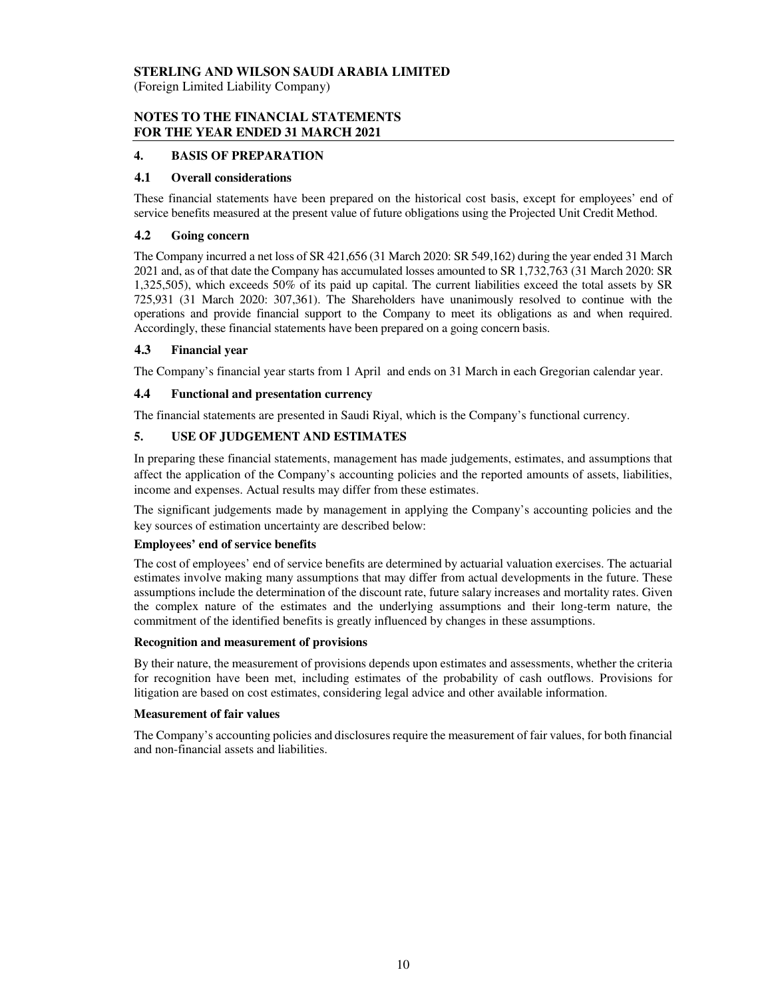(Foreign Limited Liability Company)

# **NOTES TO THE FINANCIAL STATEMENTS FOR THE YEAR ENDED 31 MARCH 2021**

# **4. BASIS OF PREPARATION**

## **4.1 Overall considerations**

These financial statements have been prepared on the historical cost basis, except for employees' end of service benefits measured at the present value of future obligations using the Projected Unit Credit Method.

### **4.2 Going concern**

The Company incurred a net loss of SR 421,656 (31 March 2020: SR 549,162) during the year ended 31 March 2021 and, as of that date the Company has accumulated losses amounted to SR 1,732,763 (31 March 2020: SR 1,325,505), which exceeds 50% of its paid up capital. The current liabilities exceed the total assets by SR 725,931 (31 March 2020: 307,361). The Shareholders have unanimously resolved to continue with the operations and provide financial support to the Company to meet its obligations as and when required. Accordingly, these financial statements have been prepared on a going concern basis.

# **4.3 Financial year**

The Company's financial year starts from 1 April and ends on 31 March in each Gregorian calendar year.

### **4.4 Functional and presentation currency**

The financial statements are presented in Saudi Riyal, which is the Company's functional currency.

# **5. USE OF JUDGEMENT AND ESTIMATES**

In preparing these financial statements, management has made judgements, estimates, and assumptions that affect the application of the Company's accounting policies and the reported amounts of assets, liabilities, income and expenses. Actual results may differ from these estimates.

The significant judgements made by management in applying the Company's accounting policies and the key sources of estimation uncertainty are described below:

### **Employees' end of service benefits**

The cost of employees' end of service benefits are determined by actuarial valuation exercises. The actuarial estimates involve making many assumptions that may differ from actual developments in the future. These assumptions include the determination of the discount rate, future salary increases and mortality rates. Given the complex nature of the estimates and the underlying assumptions and their long-term nature, the commitment of the identified benefits is greatly influenced by changes in these assumptions.

#### **Recognition and measurement of provisions**

By their nature, the measurement of provisions depends upon estimates and assessments, whether the criteria for recognition have been met, including estimates of the probability of cash outflows. Provisions for litigation are based on cost estimates, considering legal advice and other available information.

### **Measurement of fair values**

The Company's accounting policies and disclosures require the measurement of fair values, for both financial and non-financial assets and liabilities.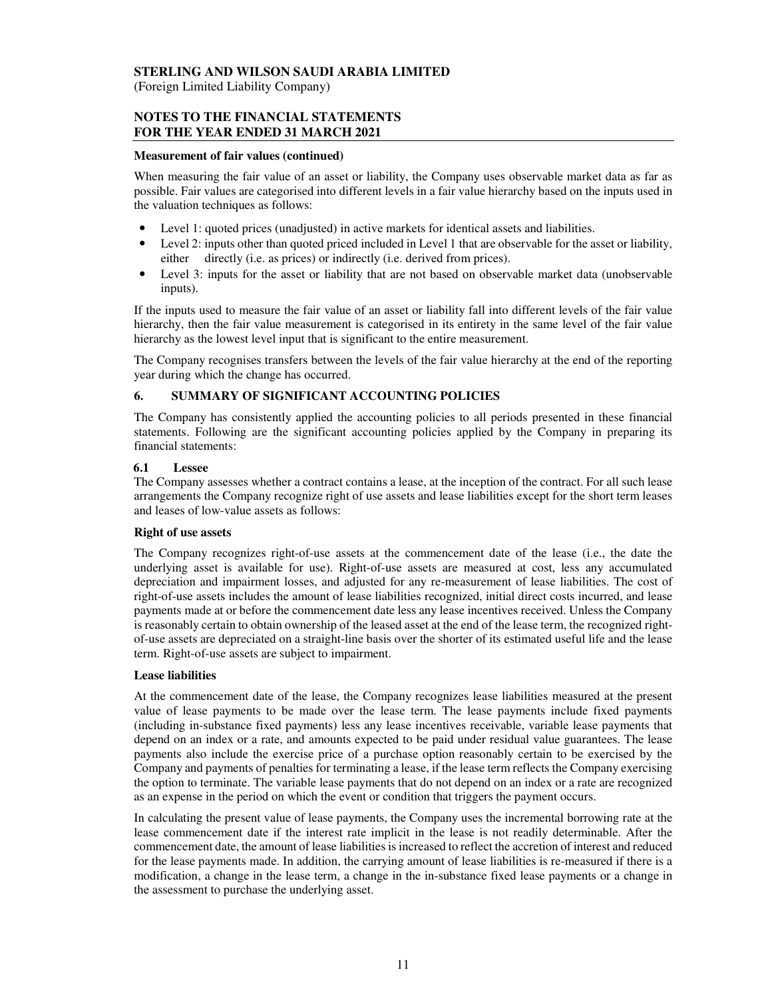(Foreign Limited Liability Company)

# **NOTES TO THE FINANCIAL STATEMENTS FOR THE YEAR ENDED 31 MARCH 2021**

#### **Measurement of fair values (continued)**

When measuring the fair value of an asset or liability, the Company uses observable market data as far as possible. Fair values are categorised into different levels in a fair value hierarchy based on the inputs used in the valuation techniques as follows:

- Level 1: quoted prices (unadjusted) in active markets for identical assets and liabilities.
- Level 2: inputs other than quoted priced included in Level 1 that are observable for the asset or liability, either directly (i.e. as prices) or indirectly (i.e. derived from prices).
- Level 3: inputs for the asset or liability that are not based on observable market data (unobservable inputs).

If the inputs used to measure the fair value of an asset or liability fall into different levels of the fair value hierarchy, then the fair value measurement is categorised in its entirety in the same level of the fair value hierarchy as the lowest level input that is significant to the entire measurement.

The Company recognises transfers between the levels of the fair value hierarchy at the end of the reporting year during which the change has occurred.

# **6. SUMMARY OF SIGNIFICANT ACCOUNTING POLICIES**

The Company has consistently applied the accounting policies to all periods presented in these financial statements. Following are the significant accounting policies applied by the Company in preparing its financial statements:

#### **6.1 Lessee**

The Company assesses whether a contract contains a lease, at the inception of the contract. For all such lease arrangements the Company recognize right of use assets and lease liabilities except for the short term leases and leases of low-value assets as follows:

### **Right of use assets**

The Company recognizes right-of-use assets at the commencement date of the lease (i.e., the date the underlying asset is available for use). Right-of-use assets are measured at cost, less any accumulated depreciation and impairment losses, and adjusted for any re-measurement of lease liabilities. The cost of right-of-use assets includes the amount of lease liabilities recognized, initial direct costs incurred, and lease payments made at or before the commencement date less any lease incentives received. Unless the Company is reasonably certain to obtain ownership of the leased asset at the end of the lease term, the recognized rightof-use assets are depreciated on a straight-line basis over the shorter of its estimated useful life and the lease term. Right-of-use assets are subject to impairment.

### **Lease liabilities**

At the commencement date of the lease, the Company recognizes lease liabilities measured at the present value of lease payments to be made over the lease term. The lease payments include fixed payments (including in-substance fixed payments) less any lease incentives receivable, variable lease payments that depend on an index or a rate, and amounts expected to be paid under residual value guarantees. The lease payments also include the exercise price of a purchase option reasonably certain to be exercised by the Company and payments of penalties for terminating a lease, if the lease term reflects the Company exercising the option to terminate. The variable lease payments that do not depend on an index or a rate are recognized as an expense in the period on which the event or condition that triggers the payment occurs.

In calculating the present value of lease payments, the Company uses the incremental borrowing rate at the lease commencement date if the interest rate implicit in the lease is not readily determinable. After the commencement date, the amount of lease liabilities is increased to reflect the accretion of interest and reduced for the lease payments made. In addition, the carrying amount of lease liabilities is re-measured if there is a modification, a change in the lease term, a change in the in-substance fixed lease payments or a change in the assessment to purchase the underlying asset.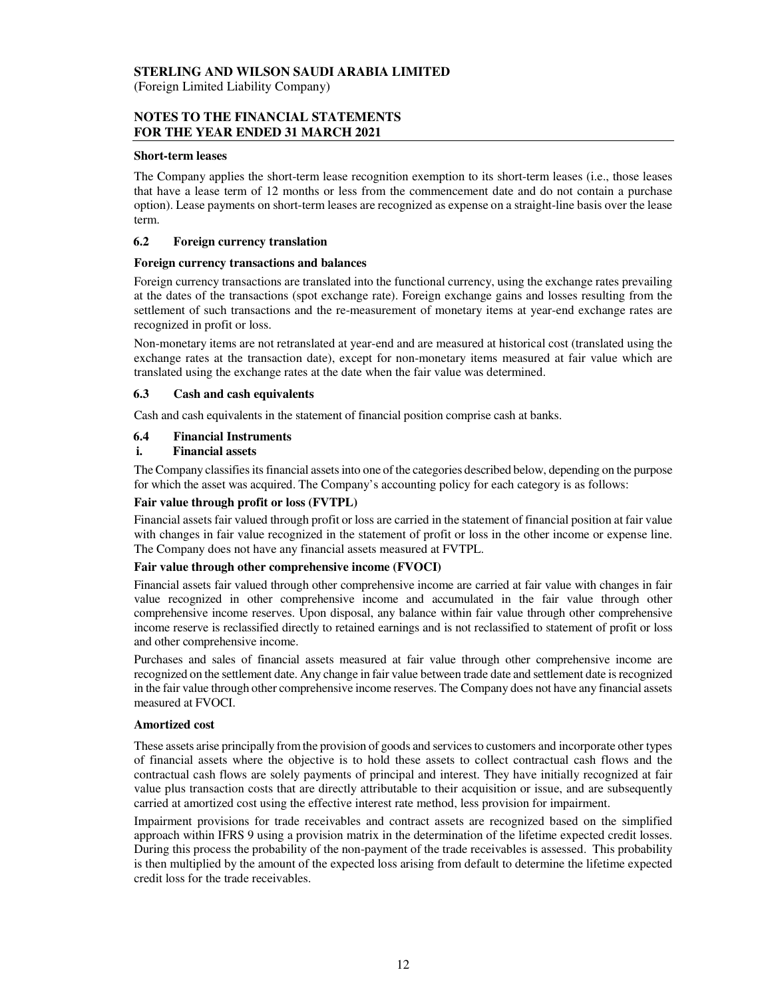#### **STERLING AND WILSON SAUDI ARABIA LIMITED**  (Foreign Limited Liability Company)

## **NOTES TO THE FINANCIAL STATEMENTS FOR THE YEAR ENDED 31 MARCH 2021**

#### **Short-term leases**

The Company applies the short-term lease recognition exemption to its short-term leases (i.e., those leases that have a lease term of 12 months or less from the commencement date and do not contain a purchase option). Lease payments on short-term leases are recognized as expense on a straight-line basis over the lease term.

#### **6.2 Foreign currency translation**

#### **Foreign currency transactions and balances**

Foreign currency transactions are translated into the functional currency, using the exchange rates prevailing at the dates of the transactions (spot exchange rate). Foreign exchange gains and losses resulting from the settlement of such transactions and the re-measurement of monetary items at year-end exchange rates are recognized in profit or loss.

Non-monetary items are not retranslated at year-end and are measured at historical cost (translated using the exchange rates at the transaction date), except for non-monetary items measured at fair value which are translated using the exchange rates at the date when the fair value was determined.

#### **6.3 Cash and cash equivalents**

Cash and cash equivalents in the statement of financial position comprise cash at banks.

### **6.4 Financial Instruments**

#### **i. Financial assets**

The Company classifies its financial assets into one of the categories described below, depending on the purpose for which the asset was acquired. The Company's accounting policy for each category is as follows:

#### **Fair value through profit or loss (FVTPL)**

Financial assets fair valued through profit or loss are carried in the statement of financial position at fair value with changes in fair value recognized in the statement of profit or loss in the other income or expense line. The Company does not have any financial assets measured at FVTPL.

### **Fair value through other comprehensive income (FVOCI)**

Financial assets fair valued through other comprehensive income are carried at fair value with changes in fair value recognized in other comprehensive income and accumulated in the fair value through other comprehensive income reserves. Upon disposal, any balance within fair value through other comprehensive income reserve is reclassified directly to retained earnings and is not reclassified to statement of profit or loss and other comprehensive income.

Purchases and sales of financial assets measured at fair value through other comprehensive income are recognized on the settlement date. Any change in fair value between trade date and settlement date is recognized in the fair value through other comprehensive income reserves. The Company does not have any financial assets measured at FVOCI.

#### **Amortized cost**

These assets arise principally from the provision of goods and services to customers and incorporate other types of financial assets where the objective is to hold these assets to collect contractual cash flows and the contractual cash flows are solely payments of principal and interest. They have initially recognized at fair value plus transaction costs that are directly attributable to their acquisition or issue, and are subsequently carried at amortized cost using the effective interest rate method, less provision for impairment.

Impairment provisions for trade receivables and contract assets are recognized based on the simplified approach within IFRS 9 using a provision matrix in the determination of the lifetime expected credit losses. During this process the probability of the non-payment of the trade receivables is assessed. This probability is then multiplied by the amount of the expected loss arising from default to determine the lifetime expected credit loss for the trade receivables.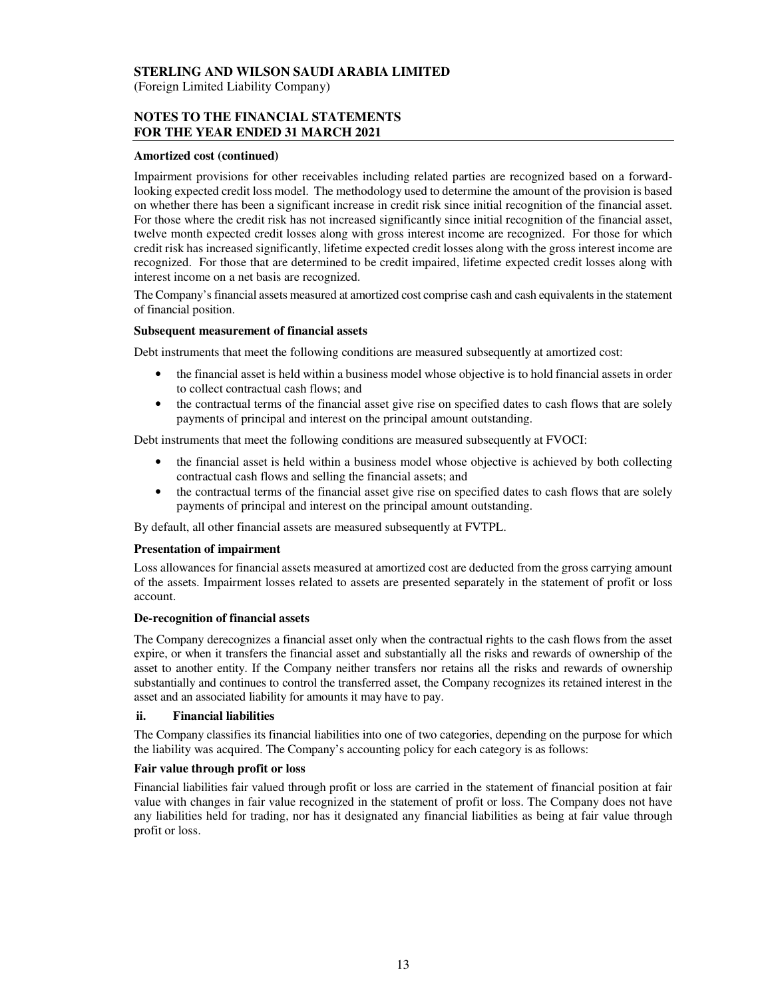(Foreign Limited Liability Company)

# **NOTES TO THE FINANCIAL STATEMENTS FOR THE YEAR ENDED 31 MARCH 2021**

#### **Amortized cost (continued)**

Impairment provisions for other receivables including related parties are recognized based on a forwardlooking expected credit loss model. The methodology used to determine the amount of the provision is based on whether there has been a significant increase in credit risk since initial recognition of the financial asset. For those where the credit risk has not increased significantly since initial recognition of the financial asset, twelve month expected credit losses along with gross interest income are recognized. For those for which credit risk has increased significantly, lifetime expected credit losses along with the gross interest income are recognized. For those that are determined to be credit impaired, lifetime expected credit losses along with interest income on a net basis are recognized.

The Company's financial assets measured at amortized cost comprise cash and cash equivalents in the statement of financial position.

#### **Subsequent measurement of financial assets**

Debt instruments that meet the following conditions are measured subsequently at amortized cost:

- the financial asset is held within a business model whose objective is to hold financial assets in order to collect contractual cash flows; and
- the contractual terms of the financial asset give rise on specified dates to cash flows that are solely payments of principal and interest on the principal amount outstanding.

Debt instruments that meet the following conditions are measured subsequently at FVOCI:

- the financial asset is held within a business model whose objective is achieved by both collecting contractual cash flows and selling the financial assets; and
- the contractual terms of the financial asset give rise on specified dates to cash flows that are solely payments of principal and interest on the principal amount outstanding.

By default, all other financial assets are measured subsequently at FVTPL.

#### **Presentation of impairment**

Loss allowances for financial assets measured at amortized cost are deducted from the gross carrying amount of the assets. Impairment losses related to assets are presented separately in the statement of profit or loss account.

#### **De-recognition of financial assets**

The Company derecognizes a financial asset only when the contractual rights to the cash flows from the asset expire, or when it transfers the financial asset and substantially all the risks and rewards of ownership of the asset to another entity. If the Company neither transfers nor retains all the risks and rewards of ownership substantially and continues to control the transferred asset, the Company recognizes its retained interest in the asset and an associated liability for amounts it may have to pay.

#### **ii. Financial liabilities**

The Company classifies its financial liabilities into one of two categories, depending on the purpose for which the liability was acquired. The Company's accounting policy for each category is as follows:

### **Fair value through profit or loss**

Financial liabilities fair valued through profit or loss are carried in the statement of financial position at fair value with changes in fair value recognized in the statement of profit or loss. The Company does not have any liabilities held for trading, nor has it designated any financial liabilities as being at fair value through profit or loss.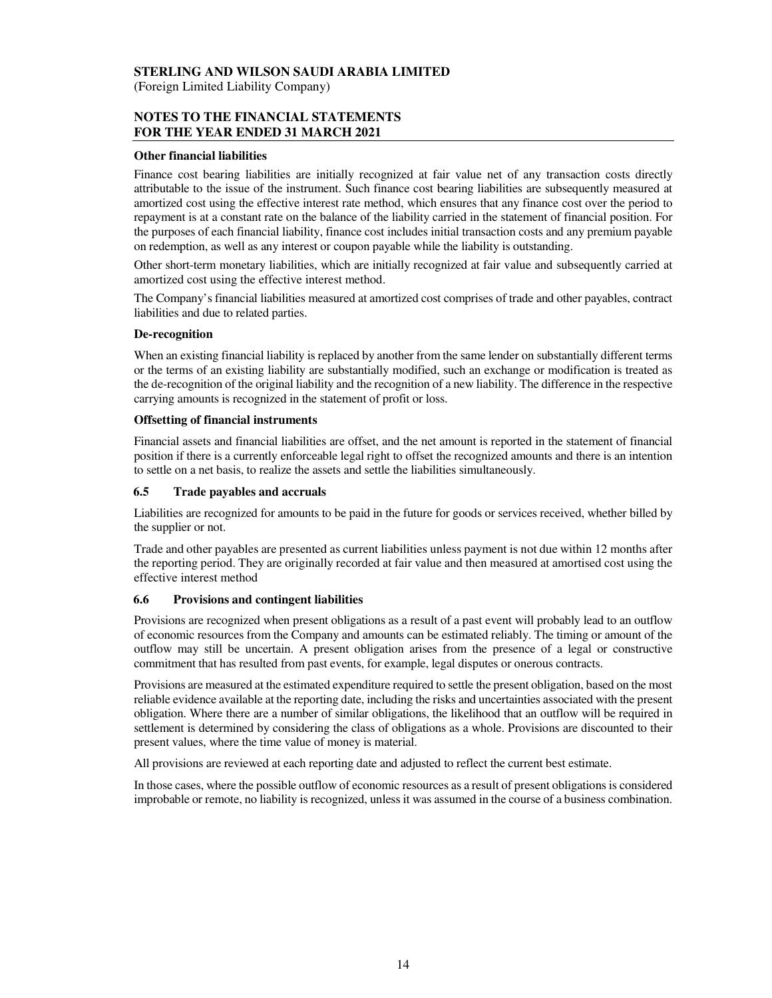(Foreign Limited Liability Company)

# **NOTES TO THE FINANCIAL STATEMENTS FOR THE YEAR ENDED 31 MARCH 2021**

#### **Other financial liabilities**

Finance cost bearing liabilities are initially recognized at fair value net of any transaction costs directly attributable to the issue of the instrument. Such finance cost bearing liabilities are subsequently measured at amortized cost using the effective interest rate method, which ensures that any finance cost over the period to repayment is at a constant rate on the balance of the liability carried in the statement of financial position. For the purposes of each financial liability, finance cost includes initial transaction costs and any premium payable on redemption, as well as any interest or coupon payable while the liability is outstanding.

Other short-term monetary liabilities, which are initially recognized at fair value and subsequently carried at amortized cost using the effective interest method.

The Company's financial liabilities measured at amortized cost comprises of trade and other payables, contract liabilities and due to related parties.

#### **De-recognition**

When an existing financial liability is replaced by another from the same lender on substantially different terms or the terms of an existing liability are substantially modified, such an exchange or modification is treated as the de-recognition of the original liability and the recognition of a new liability. The difference in the respective carrying amounts is recognized in the statement of profit or loss.

#### **Offsetting of financial instruments**

Financial assets and financial liabilities are offset, and the net amount is reported in the statement of financial position if there is a currently enforceable legal right to offset the recognized amounts and there is an intention to settle on a net basis, to realize the assets and settle the liabilities simultaneously.

#### **6.5 Trade payables and accruals**

Liabilities are recognized for amounts to be paid in the future for goods or services received, whether billed by the supplier or not.

Trade and other payables are presented as current liabilities unless payment is not due within 12 months after the reporting period. They are originally recorded at fair value and then measured at amortised cost using the effective interest method

### **6.6 Provisions and contingent liabilities**

Provisions are recognized when present obligations as a result of a past event will probably lead to an outflow of economic resources from the Company and amounts can be estimated reliably. The timing or amount of the outflow may still be uncertain. A present obligation arises from the presence of a legal or constructive commitment that has resulted from past events, for example, legal disputes or onerous contracts.

Provisions are measured at the estimated expenditure required to settle the present obligation, based on the most reliable evidence available at the reporting date, including the risks and uncertainties associated with the present obligation. Where there are a number of similar obligations, the likelihood that an outflow will be required in settlement is determined by considering the class of obligations as a whole. Provisions are discounted to their present values, where the time value of money is material.

All provisions are reviewed at each reporting date and adjusted to reflect the current best estimate.

In those cases, where the possible outflow of economic resources as a result of present obligations is considered improbable or remote, no liability is recognized, unless it was assumed in the course of a business combination.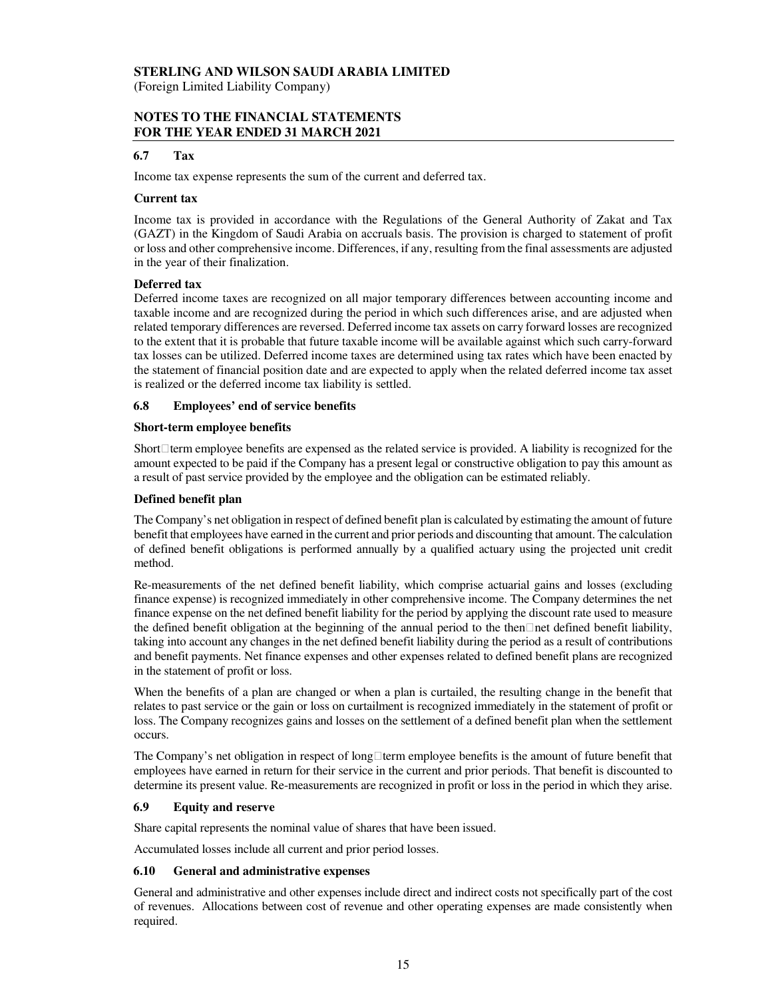#### **STERLING AND WILSON SAUDI ARABIA LIMITED**  (Foreign Limited Liability Company)

# **NOTES TO THE FINANCIAL STATEMENTS FOR THE YEAR ENDED 31 MARCH 2021**

# **6.7 Tax**

Income tax expense represents the sum of the current and deferred tax.

#### **Current tax**

Income tax is provided in accordance with the Regulations of the General Authority of Zakat and Tax (GAZT) in the Kingdom of Saudi Arabia on accruals basis. The provision is charged to statement of profit or loss and other comprehensive income. Differences, if any, resulting from the final assessments are adjusted in the year of their finalization.

#### **Deferred tax**

Deferred income taxes are recognized on all major temporary differences between accounting income and taxable income and are recognized during the period in which such differences arise, and are adjusted when related temporary differences are reversed. Deferred income tax assets on carry forward losses are recognized to the extent that it is probable that future taxable income will be available against which such carry-forward tax losses can be utilized. Deferred income taxes are determined using tax rates which have been enacted by the statement of financial position date and are expected to apply when the related deferred income tax asset is realized or the deferred income tax liability is settled.

#### **6.8 Employees' end of service benefits**

#### **Short-term employee benefits**

Short term employee benefits are expensed as the related service is provided. A liability is recognized for the amount expected to be paid if the Company has a present legal or constructive obligation to pay this amount as a result of past service provided by the employee and the obligation can be estimated reliably.

#### **Defined benefit plan**

The Company's net obligation in respect of defined benefit plan is calculated by estimating the amount of future benefit that employees have earned in the current and prior periods and discounting that amount. The calculation of defined benefit obligations is performed annually by a qualified actuary using the projected unit credit method.

Re-measurements of the net defined benefit liability, which comprise actuarial gains and losses (excluding finance expense) is recognized immediately in other comprehensive income. The Company determines the net finance expense on the net defined benefit liability for the period by applying the discount rate used to measure the defined benefit obligation at the beginning of the annual period to the thennet defined benefit liability, taking into account any changes in the net defined benefit liability during the period as a result of contributions and benefit payments. Net finance expenses and other expenses related to defined benefit plans are recognized in the statement of profit or loss.

When the benefits of a plan are changed or when a plan is curtailed, the resulting change in the benefit that relates to past service or the gain or loss on curtailment is recognized immediately in the statement of profit or loss. The Company recognizes gains and losses on the settlement of a defined benefit plan when the settlement occurs.

The Company's net obligation in respect of long term employee benefits is the amount of future benefit that employees have earned in return for their service in the current and prior periods. That benefit is discounted to determine its present value. Re-measurements are recognized in profit or loss in the period in which they arise.

### **6.9 Equity and reserve**

Share capital represents the nominal value of shares that have been issued.

Accumulated losses include all current and prior period losses.

### **6.10 General and administrative expenses**

General and administrative and other expenses include direct and indirect costs not specifically part of the cost of revenues. Allocations between cost of revenue and other operating expenses are made consistently when required.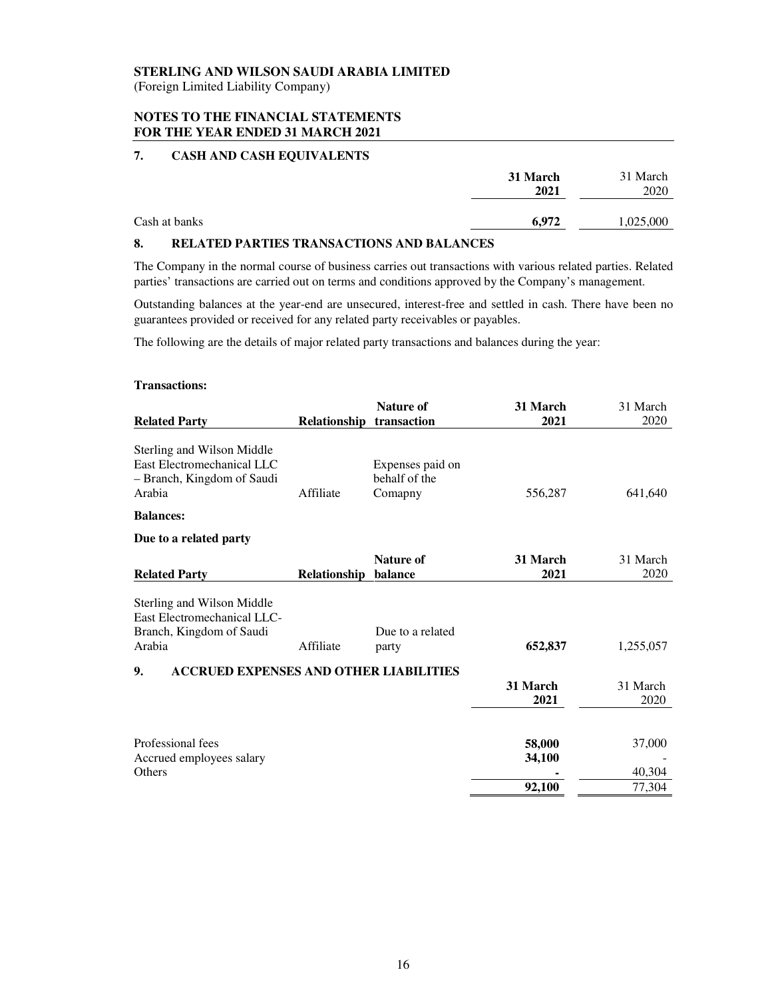(Foreign Limited Liability Company)

### **NOTES TO THE FINANCIAL STATEMENTS FOR THE YEAR ENDED 31 MARCH 2021**

# **7. CASH AND CASH EQUIVALENTS**

|               | 31 March<br>2021 | 31 March<br>2020 |
|---------------|------------------|------------------|
| Cash at banks | 6,972            | 1,025,000        |

#### **8. RELATED PARTIES TRANSACTIONS AND BALANCES**

The Company in the normal course of business carries out transactions with various related parties. Related parties' transactions are carried out on terms and conditions approved by the Company's management.

Outstanding balances at the year-end are unsecured, interest-free and settled in cash. There have been no guarantees provided or received for any related party receivables or payables.

The following are the details of major related party transactions and balances during the year:

#### **Transactions:**

|                                                                                                  |              | <b>Nature of</b>                             | 31 March         | 31 March         |
|--------------------------------------------------------------------------------------------------|--------------|----------------------------------------------|------------------|------------------|
| <b>Related Party</b>                                                                             | Relationship | transaction                                  | 2021             | 2020             |
| Sterling and Wilson Middle<br>East Electromechanical LLC<br>- Branch, Kingdom of Saudi<br>Arabia | Affiliate    | Expenses paid on<br>behalf of the<br>Comapny | 556,287          | 641,640          |
| <b>Balances:</b>                                                                                 |              |                                              |                  |                  |
| Due to a related party                                                                           |              |                                              |                  |                  |
| <b>Related Party</b>                                                                             | Relationship | Nature of<br>balance                         | 31 March<br>2021 | 31 March<br>2020 |
| Sterling and Wilson Middle<br>East Electromechanical LLC-<br>Branch, Kingdom of Saudi<br>Arabia  | Affiliate    | Due to a related<br>party                    | 652,837          | 1,255,057        |
| 9.<br><b>ACCRUED EXPENSES AND OTHER LIABILITIES</b>                                              |              |                                              | 31 March<br>2021 | 31 March<br>2020 |
| Professional fees<br>Accrued employees salary                                                    |              |                                              | 58,000<br>34,100 | 37,000           |
| <b>Others</b>                                                                                    |              |                                              | 92,100           | 40,304<br>77,304 |
|                                                                                                  |              |                                              |                  |                  |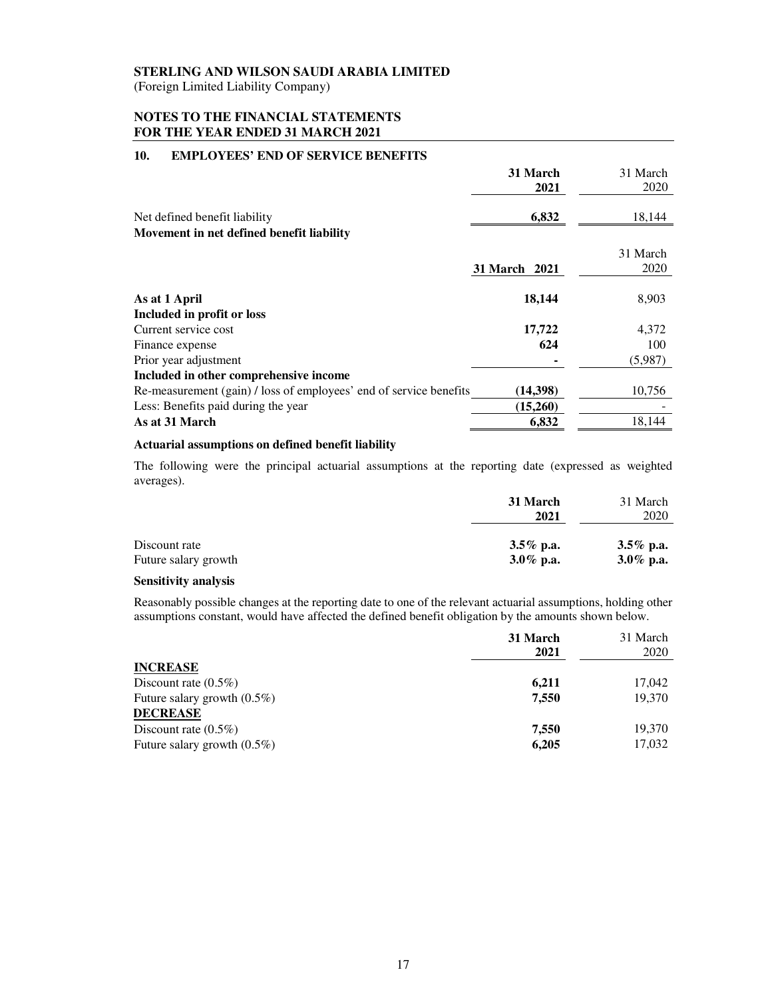(Foreign Limited Liability Company)

### **NOTES TO THE FINANCIAL STATEMENTS FOR THE YEAR ENDED 31 MARCH 2021**

# **10. EMPLOYEES' END OF SERVICE BENEFITS**

|                                                                    | 31 March<br>2021 | 31 March<br>2020 |
|--------------------------------------------------------------------|------------------|------------------|
| Net defined benefit liability                                      | 6,832            | 18,144           |
| Movement in net defined benefit liability                          |                  |                  |
|                                                                    |                  | 31 March         |
|                                                                    | 31 March 2021    | 2020             |
| As at 1 April                                                      | 18,144           | 8,903            |
| Included in profit or loss                                         |                  |                  |
| Current service cost                                               | 17,722           | 4,372            |
| Finance expense                                                    | 624              | 100              |
| Prior year adjustment                                              |                  | (5,987)          |
| Included in other comprehensive income                             |                  |                  |
| Re-measurement (gain) / loss of employees' end of service benefits | (14,398)         | 10,756           |
| Less: Benefits paid during the year                                | (15,260)         |                  |
| As at 31 March                                                     | 6,832            | 18,144           |

#### **Actuarial assumptions on defined benefit liability**

The following were the principal actuarial assumptions at the reporting date (expressed as weighted averages).

|                      | 31 March<br>2021 | 31 March<br>2020 |
|----------------------|------------------|------------------|
| Discount rate        | $3.5\%$ p.a.     | 3.5% p.a.        |
| Future salary growth | $3.0\%$ p.a.     | 3.0\% p.a.       |

#### **Sensitivity analysis**

Reasonably possible changes at the reporting date to one of the relevant actuarial assumptions, holding other assumptions constant, would have affected the defined benefit obligation by the amounts shown below.

|                                | 31 March<br>2021 | 31 March<br>2020 |
|--------------------------------|------------------|------------------|
| <b>INCREASE</b>                |                  |                  |
| Discount rate $(0.5\%)$        | 6,211            | 17,042           |
| Future salary growth $(0.5\%)$ | 7.550            | 19,370           |
| <b>DECREASE</b>                |                  |                  |
| Discount rate $(0.5\%)$        | 7,550            | 19,370           |
| Future salary growth $(0.5\%)$ | 6,205            | 17,032           |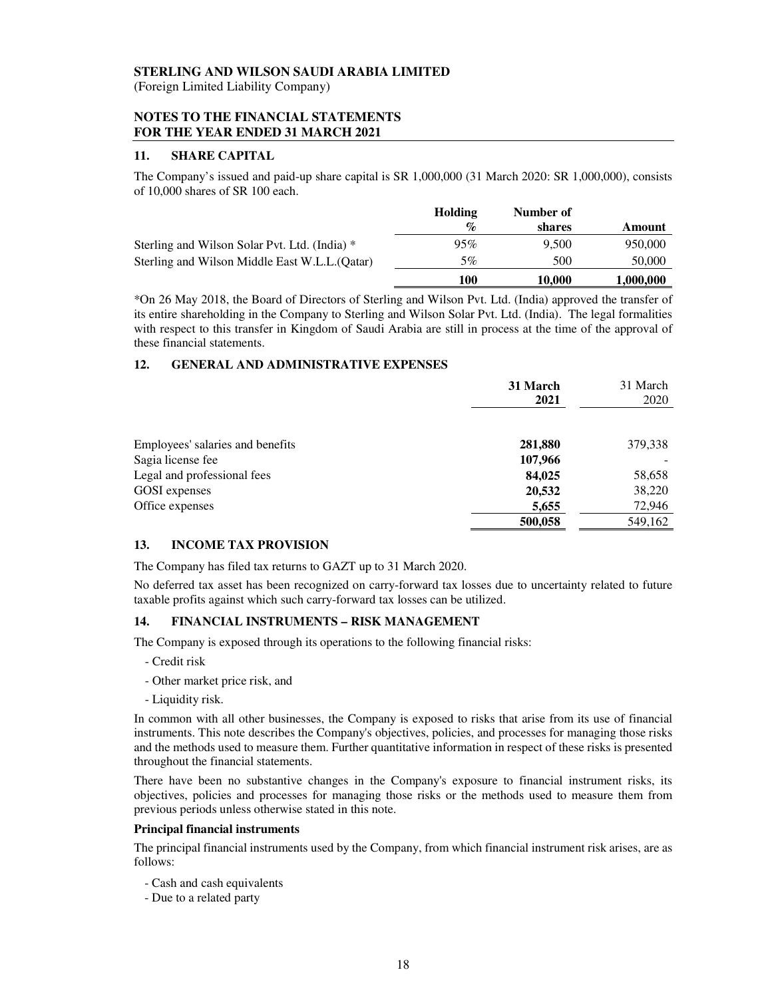#### **STERLING AND WILSON SAUDI ARABIA LIMITED**  (Foreign Limited Liability Company)

#### **NOTES TO THE FINANCIAL STATEMENTS FOR THE YEAR ENDED 31 MARCH 2021**

#### **11. SHARE CAPITAL**

The Company's issued and paid-up share capital is SR 1,000,000 (31 March 2020: SR 1,000,000), consists of 10,000 shares of SR 100 each.

|                                                | <b>Holding</b> | Number of |           |
|------------------------------------------------|----------------|-----------|-----------|
|                                                | $\%$           | shares    | Amount    |
| Sterling and Wilson Solar Pvt. Ltd. (India) *  | 95%            | 9.500     | 950,000   |
| Sterling and Wilson Middle East W.L.L. (Oatar) | 5%             | 500       | 50,000    |
|                                                | 100            | 10.000    | 1,000,000 |

\*On 26 May 2018, the Board of Directors of Sterling and Wilson Pvt. Ltd. (India) approved the transfer of its entire shareholding in the Company to Sterling and Wilson Solar Pvt. Ltd. (India). The legal formalities with respect to this transfer in Kingdom of Saudi Arabia are still in process at the time of the approval of these financial statements.

#### **12. GENERAL AND ADMINISTRATIVE EXPENSES**

|                                  | 31 March<br>2021 | 31 March<br>2020 |
|----------------------------------|------------------|------------------|
| Employees' salaries and benefits | 281,880          | 379,338          |
| Sagia license fee                | 107,966          |                  |
| Legal and professional fees      | 84,025           | 58,658           |
| GOSI expenses                    | 20,532           | 38,220           |
| Office expenses                  | 5,655            | 72,946           |
|                                  | 500,058          | 549,162          |

#### **13. INCOME TAX PROVISION**

The Company has filed tax returns to GAZT up to 31 March 2020.

No deferred tax asset has been recognized on carry-forward tax losses due to uncertainty related to future taxable profits against which such carry-forward tax losses can be utilized.

#### **14. FINANCIAL INSTRUMENTS – RISK MANAGEMENT**

The Company is exposed through its operations to the following financial risks:

- Credit risk
- Other market price risk, and
- Liquidity risk.

In common with all other businesses, the Company is exposed to risks that arise from its use of financial instruments. This note describes the Company's objectives, policies, and processes for managing those risks and the methods used to measure them. Further quantitative information in respect of these risks is presented throughout the financial statements.

There have been no substantive changes in the Company's exposure to financial instrument risks, its objectives, policies and processes for managing those risks or the methods used to measure them from previous periods unless otherwise stated in this note.

#### **Principal financial instruments**

The principal financial instruments used by the Company, from which financial instrument risk arises, are as follows:

- Cash and cash equivalents
- Due to a related party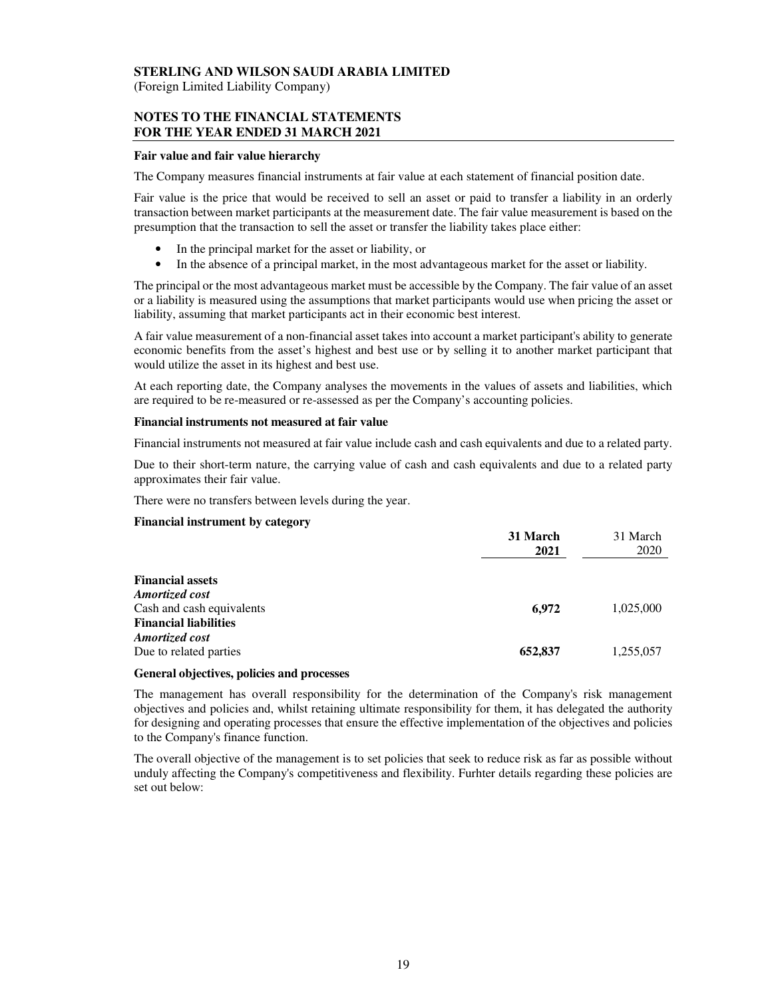(Foreign Limited Liability Company)

### **NOTES TO THE FINANCIAL STATEMENTS FOR THE YEAR ENDED 31 MARCH 2021**

#### **Fair value and fair value hierarchy**

The Company measures financial instruments at fair value at each statement of financial position date.

Fair value is the price that would be received to sell an asset or paid to transfer a liability in an orderly transaction between market participants at the measurement date. The fair value measurement is based on the presumption that the transaction to sell the asset or transfer the liability takes place either:

- In the principal market for the asset or liability, or
- In the absence of a principal market, in the most advantageous market for the asset or liability.

The principal or the most advantageous market must be accessible by the Company. The fair value of an asset or a liability is measured using the assumptions that market participants would use when pricing the asset or liability, assuming that market participants act in their economic best interest.

A fair value measurement of a non-financial asset takes into account a market participant's ability to generate economic benefits from the asset's highest and best use or by selling it to another market participant that would utilize the asset in its highest and best use.

At each reporting date, the Company analyses the movements in the values of assets and liabilities, which are required to be re-measured or re-assessed as per the Company's accounting policies.

#### **Financial instruments not measured at fair value**

Financial instruments not measured at fair value include cash and cash equivalents and due to a related party.

Due to their short-term nature, the carrying value of cash and cash equivalents and due to a related party approximates their fair value.

There were no transfers between levels during the year.

#### **Financial instrument by category**

|                              | 31 March<br>2021 | 31 March<br>2020 |
|------------------------------|------------------|------------------|
| <b>Financial assets</b>      |                  |                  |
| <b>Amortized cost</b>        |                  |                  |
| Cash and cash equivalents    | 6,972            | 1,025,000        |
| <b>Financial liabilities</b> |                  |                  |
| Amortized cost               |                  |                  |
| Due to related parties       | 652,837          | 1,255,057        |

#### **General objectives, policies and processes**

The management has overall responsibility for the determination of the Company's risk management objectives and policies and, whilst retaining ultimate responsibility for them, it has delegated the authority for designing and operating processes that ensure the effective implementation of the objectives and policies to the Company's finance function.

The overall objective of the management is to set policies that seek to reduce risk as far as possible without unduly affecting the Company's competitiveness and flexibility. Furhter details regarding these policies are set out below: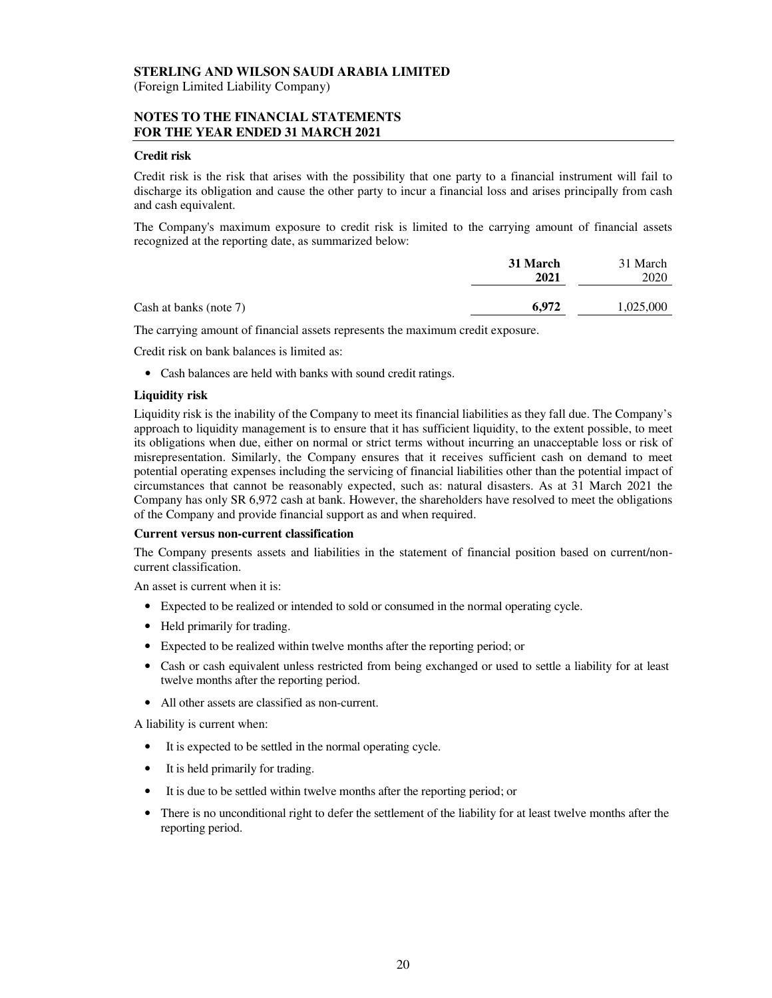#### **STERLING AND WILSON SAUDI ARABIA LIMITED**  (Foreign Limited Liability Company)

#### **NOTES TO THE FINANCIAL STATEMENTS FOR THE YEAR ENDED 31 MARCH 2021**

#### **Credit risk**

Credit risk is the risk that arises with the possibility that one party to a financial instrument will fail to discharge its obligation and cause the other party to incur a financial loss and arises principally from cash and cash equivalent.

The Company's maximum exposure to credit risk is limited to the carrying amount of financial assets recognized at the reporting date, as summarized below:

|                        | 31 March<br>2021 | 31 March<br>2020 |
|------------------------|------------------|------------------|
| Cash at banks (note 7) | 6.972            | 1,025,000        |

The carrying amount of financial assets represents the maximum credit exposure.

Credit risk on bank balances is limited as:

• Cash balances are held with banks with sound credit ratings.

#### **Liquidity risk**

Liquidity risk is the inability of the Company to meet its financial liabilities as they fall due. The Company's approach to liquidity management is to ensure that it has sufficient liquidity, to the extent possible, to meet its obligations when due, either on normal or strict terms without incurring an unacceptable loss or risk of misrepresentation. Similarly, the Company ensures that it receives sufficient cash on demand to meet potential operating expenses including the servicing of financial liabilities other than the potential impact of circumstances that cannot be reasonably expected, such as: natural disasters. As at 31 March 2021 the Company has only SR 6,972 cash at bank. However, the shareholders have resolved to meet the obligations of the Company and provide financial support as and when required.

#### **Current versus non-current classification**

The Company presents assets and liabilities in the statement of financial position based on current/noncurrent classification.

An asset is current when it is:

- Expected to be realized or intended to sold or consumed in the normal operating cycle.
- Held primarily for trading.
- Expected to be realized within twelve months after the reporting period; or
- Cash or cash equivalent unless restricted from being exchanged or used to settle a liability for at least twelve months after the reporting period.
- All other assets are classified as non-current.

A liability is current when:

- It is expected to be settled in the normal operating cycle.
- It is held primarily for trading.
- It is due to be settled within twelve months after the reporting period; or
- There is no unconditional right to defer the settlement of the liability for at least twelve months after the reporting period.